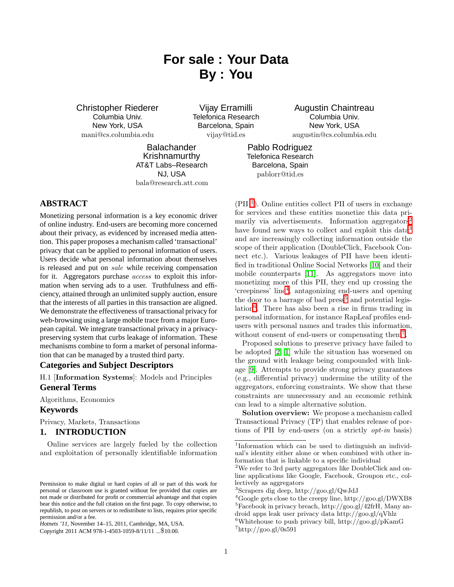# **For sale : Your Data By : You**

Christopher Riederer Columbia Univ. New York, USA mani@cs.columbia.edu

Vijay Erramilli Telefonica Research Barcelona, Spain vijay@tid.es

**Balachander** Krishnamurthy AT&T Labs–Research NJ, USA

bala@research.att.com

# **ABSTRACT**

Monetizing personal information is a key economic driver of online industry. End-users are becoming more concerned about their privacy, as evidenced by increased media attention. This paper proposes a mechanism called 'transactional' privacy that can be applied to personal information of users. Users decide what personal information about themselves is released and put on *sale* while receiving compensation for it. Aggregators purchase *access* to exploit this information when serving ads to a user. Truthfulness and efficiency, attained through an unlimited supply auction, ensure that the interests of all parties in this transaction are aligned. We demonstrate the effectiveness of transactional privacy for web-browsing using a large mobile trace from a major European capital. We integrate transactional privacy in a privacypreserving system that curbs leakage of information. These mechanisms combine to form a market of personal information that can be managed by a trusted third party.

#### **Categories and Subject Descriptors**

H.1 [Information Systems]: Models and Principles **General Terms**

Algorithms, Economics

# **Keywords**

Privacy, Markets, Transactions

#### **1. INTRODUCTION**

Online services are largely fueled by the collection and exploitation of personally identifiable information

Augustin Chaintreau Columbia Univ. New York, USA augustin@cs.columbia.edu

Pablo Rodriguez Telefonica Research Barcelona, Spain pablorr@tid.es

(PII<sup>[1](#page-0-0)</sup>). Online entities collect PII of users in exchange for services and these entities monetize this data pri-marily via advertisements. Information aggregators<sup>[2](#page-0-1)</sup> have found new ways to collect and exploit this data<sup>[3](#page-0-2)</sup> and are increasingly collecting information outside the scope of their application (DoubleClick, Facebook Connect etc.). Various leakages of PII have been identified in traditional Online Social Networks [\[10\]](#page-5-0) and their mobile counterparts [\[11\]](#page-5-1). As aggregators move into monetizing more of this PII, they end up crossing the 'creepiness' line[4](#page-0-3) , antagonizing end-users and opening the door to a barrage of bad  ${\rm press}^5$  ${\rm press}^5$  and potential legislation[6](#page-0-5) . There has also been a rise in firms trading in personal information, for instance RapLeaf profiles endusers with personal names and trades this information, without consent of end-users or compensating them[7](#page-0-6) .

Proposed solutions to preserve privacy have failed to be adopted [\[2,](#page-5-2) [1\]](#page-5-3) while the situation has worsened on the ground with leakage being compounded with linkage [\[9\]](#page-5-4). Attempts to provide strong privacy guarantees (e.g., differential privacy) undermine the utility of the aggregators, enforcing constraints. We show that these constraints are unnecessary and an economic rethink can lead to a simple alternative solution.

Solution overview: We propose a mechanism called Transactional Privacy (TP) that enables release of portions of PII by end-users (on a strictly *opt-in* basis)

Permission to make digital or hard copies of all or part of this work for personal or classroom use is granted without fee provided that copies are not made or distributed for profit or commercial advantage and that copies bear this notice and the full citation on the first page. To copy otherwise, to republish, to post on servers or to redistribute to lists, requires prior specific permission and/or a fee.

*Hotnets '11,* November 14–15, 2011, Cambridge, MA, USA.

Copyright 2011 ACM 978-1-4503-1059-8/11/11 ...\$10.00.

<span id="page-0-0"></span><sup>&</sup>lt;sup>1</sup>Information which can be used to distinguish an individual's identity either alone or when combined with other information that is linkable to a specific individual

<span id="page-0-1"></span><sup>2</sup>We refer to 3rd party aggregators like DoubleClick and online applications like Google, Facebook, Groupon etc., collectively as aggregators

<span id="page-0-2"></span><sup>3</sup> Scrapers dig deep, http://goo.gl/QwJdJ

<span id="page-0-4"></span><span id="page-0-3"></span><sup>4</sup>Google gets close to the creepy line, http://goo.gl/DWXB8  ${}^{5}$ Facebook in privacy breach, http://goo.gl/42frH, Many android apps leak user privacy data http://goo.gl/qVhlz

<span id="page-0-6"></span><span id="page-0-5"></span> ${}^6$ Whitehouse to push privacy bill, http://goo.gl/pKamG  $7$ http://goo.gl/0s591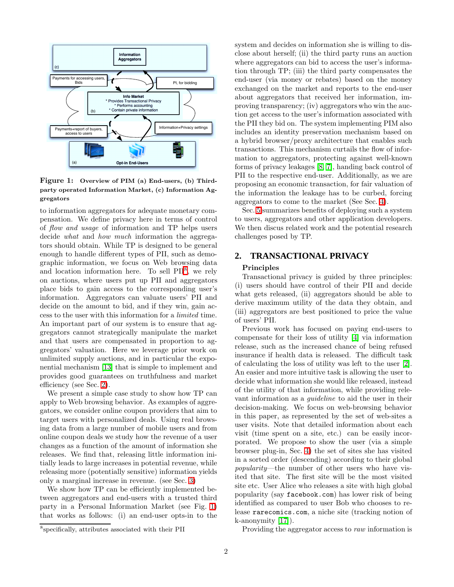

<span id="page-1-2"></span>Figure 1: Overview of PIM (a) End-users, (b) Thirdparty operated Information Market, (c) Information Aggregators

to information aggregators for adequate monetary compensation. We define privacy here in terms of control of *flow and usage* of information and TP helps users decide *what* and *how much* information the aggregators should obtain. While TP is designed to be general enough to handle different types of PII, such as demographic information, we focus on Web browsing data and location information here. To sell PII<sup>[8](#page-1-0)</sup>, we rely on auctions, where users put up PII and aggregators place bids to gain access to the corresponding user's information. Aggregators can valuate users' PII and decide on the amount to bid, and if they win, gain access to the user with this information for a *limited* time. An important part of our system is to ensure that aggregators cannot strategically manipulate the market and that users are compensated in proportion to aggregators' valuation. Here we leverage prior work on unlimited supply auctions, and in particular the exponential mechanism [\[13\]](#page-5-5) that is simple to implement and provides good guarantees on truthfulness and market efficiency (see Sec. [2\)](#page-1-1).

We present a simple case study to show how TP can apply to Web browsing behavior. As examples of aggregators, we consider online coupon providers that aim to target users with personalized deals. Using real browsing data from a large number of mobile users and from online coupon deals we study how the revenue of a user changes as a function of the amount of information she releases. We find that, releasing little information initially leads to large increases in potential revenue, while releasing more (potentially sensitive) information yields only a marginal increase in revenue. (see Sec. [3\)](#page-2-0)

We show how TP can be efficiently implemented between aggregators and end-users with a trusted third party in a Personal Information Market (see Fig. [1\)](#page-1-2) that works as follows: (i) an end-user opts-in to the system and decides on information she is willing to disclose about herself; (ii) the third party runs an auction where aggregators can bid to access the user's information through TP; (iii) the third party compensates the end-user (via money or rebates) based on the money exchanged on the market and reports to the end-user about aggregators that received her information, improving transparency; (iv) aggregators who win the auction get access to the user's information associated with the PII they bid on. The system implementing PIM also includes an identity preservation mechanism based on a hybrid browser/proxy architecture that enables such transactions. This mechanism curtails the flow of information to aggregators, protecting against well-known forms of privacy leakages [\[8,](#page-5-6) [7\]](#page-5-7), handing back control of PII to the respective end-user. Additionally, as we are proposing an economic transaction, for fair valuation of the information the leakage has to be curbed, forcing aggregators to come to the market (See Sec. [4\)](#page-3-0).

Sec. [5](#page-4-0) summarizes benefits of deploying such a system to users, aggregators and other application developers. We then discus related work and the potential research challenges posed by TP.

# <span id="page-1-1"></span>**2. TRANSACTIONAL PRIVACY**

#### Principles

Transactional privacy is guided by three principles: (i) users should have control of their PII and decide what gets released, (ii) aggregators should be able to derive maximum utility of the data they obtain, and (iii) aggregators are best positioned to price the value of users' PII.

Previous work has focused on paying end-users to compensate for their loss of utility [\[4\]](#page-5-8) via information release, such as the increased chance of being refused insurance if health data is released. The difficult task of calculating the loss of utility was left to the user [\[2\]](#page-5-2). An easier and more intuitive task is allowing the user to decide what information she would like released, instead of the utility of that information, while providing relevant information as a *guideline* to aid the user in their decision-making. We focus on web-browsing behavior in this paper, as represented by the set of web-sites a user visits. Note that detailed information about each visit (time spent on a site, etc.) can be easily incorporated. We propose to show the user (via a simple browser plug-in, Sec. [4\)](#page-3-0) the set of sites she has visited in a sorted order (descending) according to their global *popularity*—the number of other users who have visited that site. The first site will be the most visited site etc. User Alice who releases a site with high global popularity (say facebook.com) has lower risk of being identified as compared to user Bob who chooses to release rarecomics.com, a niche site (tracking notion of k-anonymity [\[17\]](#page-5-9)).

Providing the aggregator access to *raw* information is

<span id="page-1-0"></span><sup>8</sup> specifically, attributes associated with their PII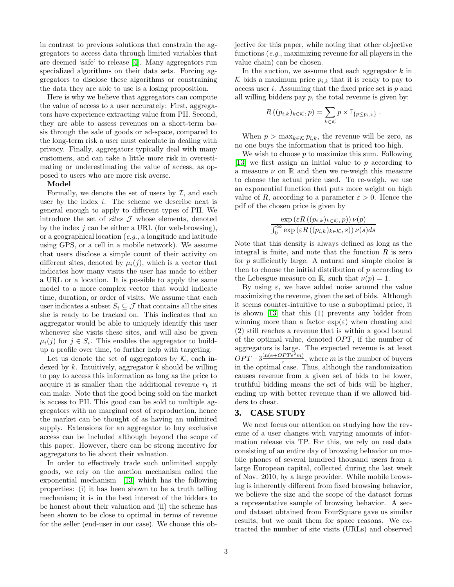in contrast to previous solutions that constrain the aggregators to access data through limited variables that are deemed 'safe' to release [\[4\]](#page-5-8). Many aggregators run specialized algorithms on their data sets. Forcing aggregators to disclose these algorithms or constraining the data they are able to use is a losing proposition.

Here is why we believe that aggregators can compute the value of access to a user accurately: First, aggregators have experience extracting value from PII. Second, they are able to assess revenues on a short-term basis through the sale of goods or ad-space, compared to the long-term risk a user must calculate in dealing with privacy. Finally, aggregators typically deal with many customers, and can take a little more risk in overestimating or underestimating the value of access, as opposed to users who are more risk averse.

#### Model

Formally, we denote the set of users by  $\mathcal{I}$ , and each user by the index i. The scheme we describe next is general enough to apply to different types of PII. We introduce the set of *sites*  $J$  whose elements, denoted by the index  $j$  can be either a URL (for web-browsing), or a geographical location (*e.g.*, a longitude and latitude using GPS, or a cell in a mobile network). We assume that users disclose a simple count of their activity on different sites, denoted by  $\mu_i(j)$ , which is a vector that indicates how many visits the user has made to either a URL or a location. It is possible to apply the same model to a more complex vector that would indicate time, duration, or order of visits. We assume that each user indicates a subset  $S_i \subseteq \mathcal{J}$  that contains all the sites she is ready to be tracked on. This indicates that an aggregator would be able to uniquely identify this user whenever she visits these sites, and will also be given  $\mu_i(j)$  for  $j \in S_i$ . This enables the aggregator to buildup a profile over time, to further help with targeting.

Let us denote the set of aggregators by  $K$ , each indexed by  $k$ . Intuitively, aggregator  $k$  should be willing to pay to access this information as long as the price to acquire it is smaller than the additional revenue  $r_k$  it can make. Note that the good being sold on the market is access to PII. This good can be sold to multiple aggregators with no marginal cost of reproduction, hence the market can be thought of as having an unlimited supply. Extensions for an aggregator to buy exclusive access can be included although beyond the scope of this paper. However, there can be strong incentive for aggregators to lie about their valuation.

In order to effectively trade such unlimited supply goods, we rely on the auction mechanism called the exponential mechanism [\[13\]](#page-5-5) which has the following properties: (i) it has been shown to be a truth telling mechanism; it is in the best interest of the bidders to be honest about their valuation and (ii) the scheme has been shown to be close to optimal in terms of revenue for the seller (end-user in our case). We choose this objective for this paper, while noting that other objective functions (*e.g.*, maximizing revenue for all players in the value chain) can be chosen.

In the auction, we assume that each aggregator  $k$  in K bids a maximum price  $p_{i,k}$  that it is ready to pay to access user  $i$ . Assuming that the fixed price set is  $p$  and all willing bidders pay  $p$ , the total revenue is given by:

$$
R((p_{i,k})_{k\in\mathcal{K}},p)=\sum_{k\in\mathcal{K}}p\times\mathbb{I}_{\{p\leq p_{i,k}\}}.
$$

When  $p > \max_{k \in \mathcal{K}} p_{i,k}$ , the revenue will be zero, as no one buys the information that is priced too high.

We wish to choose  $p$  to maximize this sum. Following [\[13\]](#page-5-5) we first assign an initial value to p according to a measure  $\nu$  on  $\mathbb R$  and then we re-weigh this measure to choose the actual price used. To re-weigh, we use an exponential function that puts more weight on high value of R, according to a parameter  $\varepsilon > 0$ . Hence the pdf of the chosen price is given by

$$
\frac{\exp\left(\varepsilon R\left((p_{i,k})_{k\in\mathcal{K}},p\right)\right)\nu(p)}{\int_0^\infty \exp\left(\varepsilon R\left((p_{i,k})_{k\in\mathcal{K}},s\right)\right)\nu(s)ds}
$$

Note that this density is always defined as long as the integral is finite, and note that the function  $R$  is zero for  $p$  sufficiently large. A natural and simple choice is then to choose the initial distribution of  $p$  according to the Lebesgue measure on R, such that  $\nu(p) = 1$ .

By using  $\varepsilon$ , we have added noise around the value maximizing the revenue, given the set of bids. Although it seems counter-intuitive to use a suboptimal price, it is shown [\[13\]](#page-5-5) that this (1) prevents any bidder from winning more than a factor  $\exp(\varepsilon)$  when cheating and (2) still reaches a revenue that is within a good bound of the optimal value, denoted  $OPT$ , if the number of aggregators is large. The expected revenue is at least  $OPT-3\frac{\ln(e+OPT\epsilon^2m)}{2}$  $\frac{P I \epsilon \ m}{\epsilon}$ , where *m* is the number of buyers in the optimal case. Thus, although the randomization causes revenue from a given set of bids to be lower, truthful bidding means the set of bids will be higher, ending up with better revenue than if we allowed bidders to cheat.

#### <span id="page-2-0"></span>**3. CASE STUDY**

We next focus our attention on studying how the revenue of a user changes with varying amounts of information release via TP. For this, we rely on real data consisting of an entire day of browsing behavior on mobile phones of several hundred thousand users from a large European capital, collected during the last week of Nov. 2010, by a large provider. While mobile browsing is inherently different from fixed browsing behavior, we believe the size and the scope of the dataset forms a representative sample of browsing behavior. A second dataset obtained from FourSquare gave us similar results, but we omit them for space reasons. We extracted the number of site visits (URLs) and observed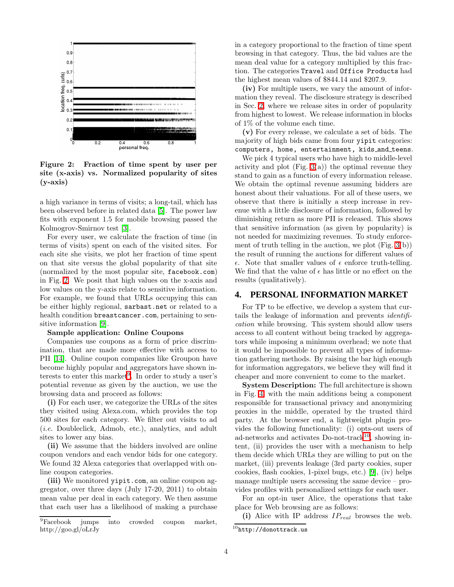

<span id="page-3-1"></span>Figure 2: Fraction of time spent by user per site (x-axis) vs. Normalized popularity of sites (y-axis)

a high variance in terms of visits; a long-tail, which has been observed before in related data [\[5\]](#page-5-10). The power law fits with exponent 1.5 for mobile browsing passed the Kolmogrov-Smirnov test [\[3\]](#page-5-11).

For every user, we calculate the fraction of time (in terms of visits) spent on each of the visited sites. For each site she visits, we plot her fraction of time spent on that site versus the global popularity of that site (normalized by the most popular site, facebook.com) in Fig. [2.](#page-3-1) We posit that high values on the x-axis and low values on the y-axis relate to sensitive information. For example, we found that URLs occupying this can be either highly regional, sarbast.net or related to a health condition breastcancer.com, pertaining to sensitive information [\[9\]](#page-5-4).

#### Sample application: Online Coupons

Companies use coupons as a form of price discrimination, that are made more effective with access to PII [\[14\]](#page-5-12). Online coupon companies like Groupon have become highly popular and aggregators have shown in-terests to enter this market<sup>[9](#page-3-2)</sup>. In order to study a user's potential revenue as given by the auction, we use the browsing data and proceed as follows:

(i) For each user, we categorize the URLs of the sites they visited using Alexa.com, which provides the top 500 sites for each category. We filter out visits to ad (*i.e.* Doubleclick, Admob, etc.), analytics, and adult sites to lower any bias.

(ii) We assume that the bidders involved are online coupon vendors and each vendor bids for one category. We found 32 Alexa categories that overlapped with online coupon categories.

(iii) We monitored yipit.com, an online coupon aggregator, over three days (July 17-20, 2011) to obtain mean value per deal in each category. We then assume that each user has a likelihood of making a purchase

in a category proportional to the fraction of time spent browsing in that category. Thus, the bid values are the mean deal value for a category multiplied by this fraction. The categories Travel and Office Products had the highest mean values of \$844.14 and \$207.9.

(iv) For multiple users, we vary the amount of information they reveal. The disclosure strategy is described in Sec. [2,](#page-1-1) where we release sites in order of popularity from highest to lowest. We release information in blocks of 1% of the volume each time.

(v) For every release, we calculate a set of bids. The majority of high bids came from four yipit categories: computers, home, entertainment, kids and teens.

We pick 4 typical users who have high to middle-level activity and plot (Fig.  $3(a)$ ) the optimal revenue they stand to gain as a function of every information release. We obtain the optimal revenue assuming bidders are honest about their valuations. For all of these users, we observe that there is initially a steep increase in revenue with a little disclosure of information, followed by diminishing return as more PII is released. This shows that sensitive information (as given by popularity) is not needed for maximizing revenues. To study enforcement of truth telling in the auction, we plot (Fig. [3\(](#page-4-1)b)) the result of running the auctions for different values of  $\epsilon$ . Note that smaller values of  $\epsilon$  enforce truth-telling. We find that the value of  $\epsilon$  has little or no effect on the results (qualitatively).

## <span id="page-3-0"></span>**4. PERSONAL INFORMATION MARKET**

For TP to be effective, we develop a system that curtails the leakage of information and prevents *identification* while browsing. This system should allow users access to all content without being tracked by aggregators while imposing a minimum overhead; we note that it would be impossible to prevent all types of information gathering methods. By raising the bar high enough for information aggregators, we believe they will find it cheaper and more convenient to come to the market.

System Description: The full architecture is shown in Fig. [4,](#page-5-13) with the main additions being a component responsible for transactional privacy and anonymizing proxies in the middle, operated by the trusted third party. At the browser end, a lightweight plugin provides the following functionality: (i) opts-out users of ad-networks and activates Do-not-track<sup>[10](#page-3-3)</sup>, showing intent, (ii) provides the user with a mechanism to help them decide which URLs they are willing to put on the market, (iii) prevents leakage (3rd party cookies, super cookies, flash cookies, 1-pixel bugs, etc.) [\[9\]](#page-5-4), (iv) helps manage multiple users accessing the same device – provides profiles with personalized settings for each user.

For an opt-in user Alice, the operations that take place for Web browsing are as follows:

(i) Alice with IP address  $IP_{real}$  browses the web.

<span id="page-3-2"></span><sup>9</sup>Facebook jumps into crowded coupon market, http://goo.gl/oLrJy

<span id="page-3-3"></span> $^{10}$ http://donottrack.us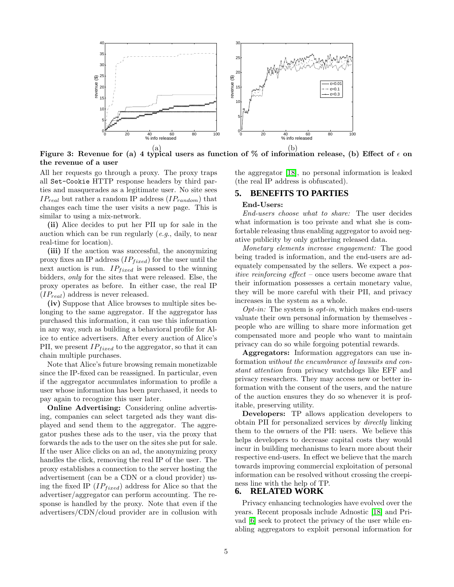

<span id="page-4-1"></span>Figure 3: Revenue for (a) 4 typical users as function of % of information release, (b) Effect of  $\epsilon$  on the revenue of a user

All her requests go through a proxy. The proxy traps all Set-Cookie HTTP response headers by third parties and masquerades as a legitimate user. No site sees  $IP_{real}$  but rather a random IP address  $(IP_{random})$  that changes each time the user visits a new page. This is similar to using a mix-network.

(ii) Alice decides to put her PII up for sale in the auction which can be run regularly (*e.g.*, daily, to near real-time for location).

(iii) If the auction was successful, the anonymizing proxy fixes an IP address  $(IP_{fixed})$  for the user until the next auction is run.  $IP_{fixed}$  is passed to the winning bidders, *only* for the sites that were released. Else, the proxy operates as before. In either case, the real IP  $(IP_{real})$  address is never released.

(iv) Suppose that Alice browses to multiple sites belonging to the same aggregator. If the aggregator has purchased this information, it can use this information in any way, such as building a behavioral profile for Alice to entice advertisers. After every auction of Alice's PII, we present  $IP_{fixed}$  to the aggregator, so that it can chain multiple purchases.

Note that Alice's future browsing remain monetizable since the IP-fixed can be reassigned. In particular, even if the aggregator accumulates information to profile a user whose information has been purchased, it needs to pay again to recognize this user later.

Online Advertising: Considering online advertising, companies can select targeted ads they want displayed and send them to the aggregator. The aggregator pushes these ads to the user, via the proxy that forwards the ads to the user on the sites she put for sale. If the user Alice clicks on an ad, the anonymizing proxy handles the click, removing the real IP of the user. The proxy establishes a connection to the server hosting the advertisement (can be a CDN or a cloud provider) using the fixed IP  $(IP_{fixed})$  address for Alice so that the advertiser/aggregator can perform accounting. The response is handled by the proxy. Note that even if the advertisers/CDN/cloud provider are in collusion with the aggregator [\[18\]](#page-5-14), no personal information is leaked (the real IP address is obfuscated).

#### <span id="page-4-0"></span>**5. BENEFITS TO PARTIES**

#### End-Users:

*End-users choose what to share:* The user decides what information is too private and what she is comfortable releasing thus enabling aggregator to avoid negative publicity by only gathering released data.

*Monetary elements increase engagement:* The good being traded is information, and the end-users are adequately compensated by the sellers. We expect a *positive reinforcing effect* – once users become aware that their information possesses a certain monetary value, they will be more careful with their PII, and privacy increases in the system as a whole.

*Opt-in:* The system is *opt-in*, which makes end-users valuate their own personal information by themselves people who are willing to share more information get compensated more and people who want to maintain privacy can do so while forgoing potential rewards.

Aggregators: Information aggregators can use information *without the encumbrance of lawsuits and constant attention* from privacy watchdogs like EFF and privacy researchers. They may access new or better information with the consent of the users, and the nature of the auction ensures they do so whenever it is profitable, preserving utility.

Developers: TP allows application developers to obtain PII for personalized services by *directly* linking them to the owners of the PII: users. We believe this helps developers to decrease capital costs they would incur in building mechanisms to learn more about their respective end-users. In effect we believe that the march towards improving commercial exploitation of personal information can be resolved without crossing the creepiness line with the help of TP.

# **6. RELATED WORK**

Privacy enhancing technologies have evolved over the years. Recent proposals include Adnostic [\[18\]](#page-5-14) and Privad [\[6\]](#page-5-15) seek to protect the privacy of the user while enabling aggregators to exploit personal information for